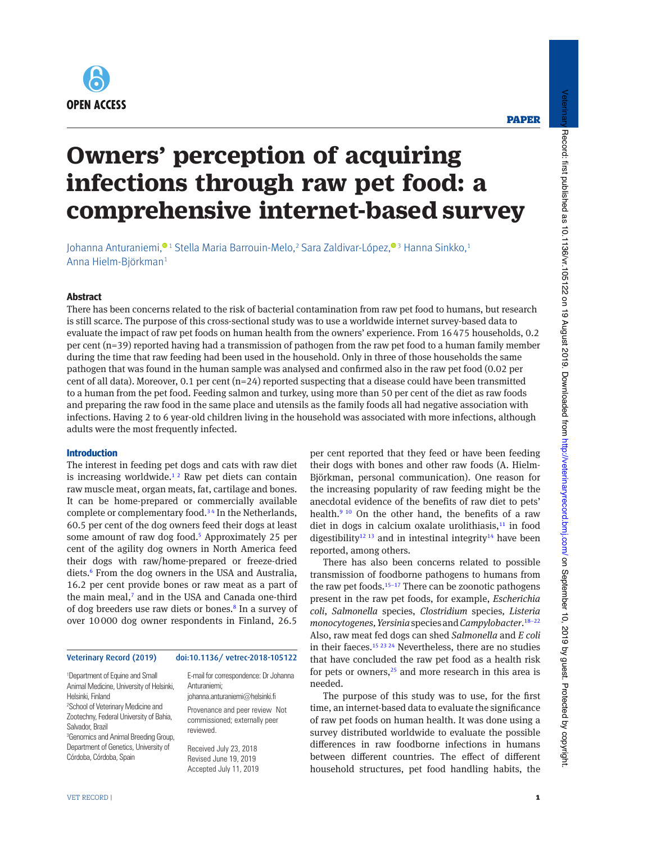

## **PAPER**

# **Owners' perception of acquiring infections through raw pet food: a comprehensive internet-based survey**

Johanna Anturaniemi, $^{\textcolor{red}{\textbf{0}}\textcolor{black}{1}}$  Stella Maria Barrouin-Melo, $^2$ Sara Zaldivar-López, $^{\textcolor{red}{\textbf{0}}\textcolor{black}{3}}$  Hanna Sinkko, $^1$ Anna Hielm-Björkman1

## **Abstract**

There has been concerns related to the risk of bacterial contamination from raw pet food to humans, but research is still scarce. The purpose of this cross-sectional study was to use a worldwide internet survey-based data to evaluate the impact of raw pet foods on human health from the owners' experience. From 16475 households, 0.2 per cent (n=39) reported having had a transmission of pathogen from the raw pet food to a human family member during the time that raw feeding had been used in the household. Only in three of those households the same pathogen that was found in the human sample was analysed and confirmed also in the raw pet food (0.02 per cent of all data). Moreover, 0.1 per cent  $(n=24)$  reported suspecting that a disease could have been transmitted to a human from the pet food. Feeding salmon and turkey, using more than 50 per cent of the diet as raw foods and preparing the raw food in the same place and utensils as the family foods all had negative association with infections. Having 2 to 6 year-old children living in the household was associated with more infections, although adults were the most frequently infected.

## **Introduction**

The interest in feeding pet dogs and cats with raw diet is increasing worldwide.<sup>12</sup> Raw pet diets can contain raw muscle meat, organ meats, fat, cartilage and bones. It can be home-prepared or commercially available complete or complementary food.<sup>34</sup> In the Netherlands, 60.5 per cent of the dog owners feed their dogs at least some amount of raw dog food.<sup>5</sup> Approximately 25 per cent of the agility dog owners in North America feed their dogs with raw/home-prepared or freeze-dried diets.<sup>6</sup> From the dog owners in the USA and Australia, 16.2 per cent provide bones or raw meat as a part of the main meal,<sup>7</sup> and in the USA and Canada one-third of dog breeders use raw diets or bones.<sup>8</sup> In a survey of over 10000 dog owner respondents in Finland, 26.5

#### Veterinary Record (2019) doi:10.1136/ vetrec-2018-105122

1 Department of Equine and Small Animal Medicine, University of Helsinki, Helsinki, Finland 2 School of Veterinary Medicine and Zootechny, Federal University of Bahia, Salvador, Brazil 3 Genomics and Animal Breeding Group, Department of Genetics, University of Córdoba, Córdoba, Spain

E-mail for correspondence: Dr Johanna Anturaniemi;

johanna.anturaniemi@helsinki.fi Provenance and peer review Not

commissioned; externally peer reviewed.

Received July 23, 2018 Revised June 19, 2019 Accepted July 11, 2019 per cent reported that they feed or have been feeding their dogs with bones and other raw foods (A. Hielm-Björkman, personal communication). One reason for the increasing popularity of raw feeding might be the anecdotal evidence of the benefits of raw diet to pets' health.<sup>9 10</sup> On the other hand, the benefits of a raw diet in dogs in calcium oxalate urolithiasis, $11$  in food digestibility<sup>12 13</sup> and in intestinal integrity<sup>14</sup> have been reported, among others.

There has also been concerns related to possible transmission of foodborne pathogens to humans from the raw pet foods.<sup>15–17</sup> There can be zoonotic pathogens present in the raw pet foods, for example, *Escherichia coli*, *Salmonella* species, *Clostridium* species*, Listeria monocytogenes, Yersinia* species and *Campylobacter*. 18–22 Also, raw meat fed dogs can shed *Salmonella* and *E coli* in their faeces.<sup>15 23 24</sup> Nevertheless, there are no studies that have concluded the raw pet food as a health risk for pets or owners,<sup>25</sup> and more research in this area is needed.

The purpose of this study was to use, for the first time, an internet-based data to evaluate the significance of raw pet foods on human health. It was done using a survey distributed worldwide to evaluate the possible differences in raw foodborne infections in humans between different countries. The effect of different household structures, pet food handling habits, the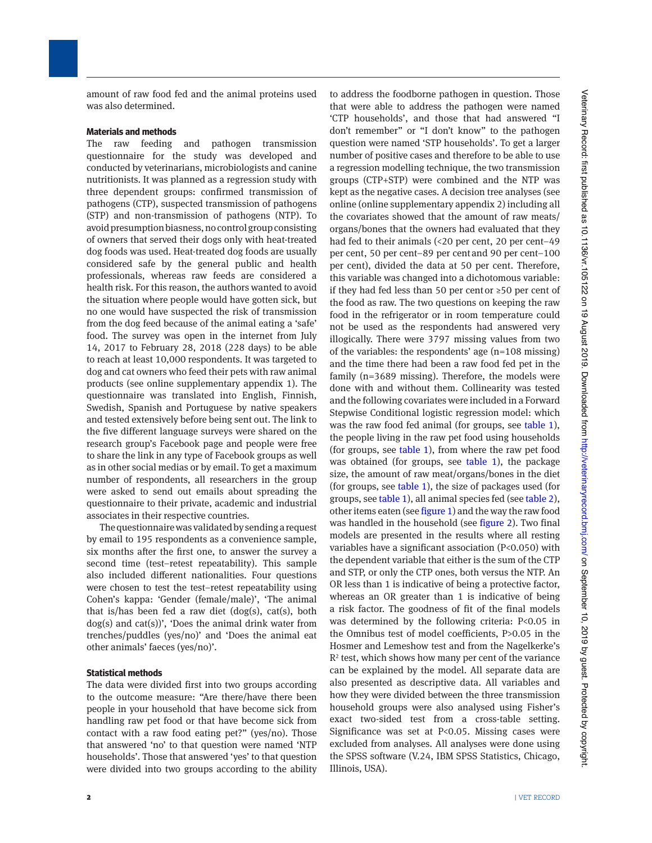amount of raw food fed and the animal proteins used was also determined.

### **Materials and methods**

The raw feeding and pathogen transmission questionnaire for the study was developed and conducted by veterinarians, microbiologists and canine nutritionists. It was planned as a regression study with three dependent groups: confirmed transmission of pathogens (CTP), suspected transmission of pathogens (STP) and non-transmission of pathogens (NTP). To avoid presumption biasness, no control group consisting of owners that served their dogs only with heat-treated dog foods was used. Heat-treated dog foods are usually considered safe by the general public and health professionals, whereas raw feeds are considered a health risk. For this reason, the authors wanted to avoid the situation where people would have gotten sick, but no one would have suspected the risk of transmission from the dog feed because of the animal eating a 'safe' food. The survey was open in the internet from July 14, 2017 to February 28, 2018 (228 days) to be able to reach at least 10,000 respondents. It was targeted to dog and cat owners who feed their pets with raw animal products (see online supplementary appendix 1). The questionnaire was translated into English, Finnish, Swedish, Spanish and Portuguese by native speakers and tested extensively before being sent out. The link to the five different language surveys were shared on the research group's Facebook page and people were free to share the link in any type of Facebook groups as well as in other social medias or by email. To get a maximum number of respondents, all researchers in the group were asked to send out emails about spreading the questionnaire to their private, academic and industrial associates in their respective countries.

The questionnaire was validated by sending a request by email to 195 respondents as a convenience sample, six months after the first one, to answer the survey a second time (test–retest repeatability). This sample also included different nationalities. Four questions were chosen to test the test–retest repeatability using Cohen's kappa: 'Gender (female/male)', 'The animal that is/has been fed a raw diet (dog(s), cat(s), both dog(s) and cat(s))', 'Does the animal drink water from trenches/puddles (yes/no)' and 'Does the animal eat other animals' faeces (yes/no)'.

## **Statistical methods**

The data were divided first into two groups according to the outcome measure: "Are there/have there been people in your household that have become sick from handling raw pet food or that have become sick from contact with a raw food eating pet?" (yes/no). Those that answered 'no' to that question were named 'NTP households'. Those that answered 'yes' to that question were divided into two groups according to the ability

to address the foodborne pathogen in question. Those that were able to address the pathogen were named 'CTP households', and those that had answered "I don't remember" or "I don't know" to the pathogen question were named 'STP households'. To get a larger number of positive cases and therefore to be able to use a regression modelling technique, the two transmission groups (CTP+STP) were combined and the NTP was kept as the negative cases. A decision tree analyses (see online (online supplementary appendix 2) including all the covariates showed that the amount of raw meats/ organs/bones that the owners had evaluated that they had fed to their animals (<20 per cent, 20 per cent–49 per cent, 50 per cent–89 per centand 90 per cent–100 per cent), divided the data at 50 per cent. Therefore, this variable was changed into a dichotomous variable: if they had fed less than 50 per centor ≥50 per cent of the food as raw. The two questions on keeping the raw food in the refrigerator or in room temperature could not be used as the respondents had answered very illogically. There were 3797 missing values from two of the variables: the respondents' age (n=108 missing) and the time there had been a raw food fed pet in the family (n=3689 missing). Therefore, the models were done with and without them. Collinearity was tested and the following covariates were included in a Forward Stepwise Conditional logistic regression model: which was the raw food fed animal (for groups, see table 1), the people living in the raw pet food using households (for groups, see table 1), from where the raw pet food was obtained (for groups, see table 1), the package size, the amount of raw meat/organs/bones in the diet (for groups, see table 1), the size of packages used (for groups, see table 1), all animal species fed (see table 2), other items eaten (see figure 1) and the way the raw food was handled in the household (see figure 2). Two final models are presented in the results where all resting variables have a significant association (P<0.050) with the dependent variable that either is the sum of the CTP and STP, or only the CTP ones, both versus the NTP. An OR less than 1 is indicative of being a protective factor, whereas an OR greater than 1 is indicative of being a risk factor. The goodness of fit of the final models was determined by the following criteria: P<0.05 in the Omnibus test of model coefficients, P>0.05 in the Hosmer and Lemeshow test and from the Nagelkerke's  $R<sup>2</sup>$  test, which shows how many per cent of the variance can be explained by the model. All separate data are also presented as descriptive data. All variables and how they were divided between the three transmission household groups were also analysed using Fisher's exact two-sided test from a cross-table setting. Significance was set at P<0.05. Missing cases were excluded from analyses. All analyses were done using the SPSS software (V.24, IBM SPSS Statistics, Chicago, Illinois, USA).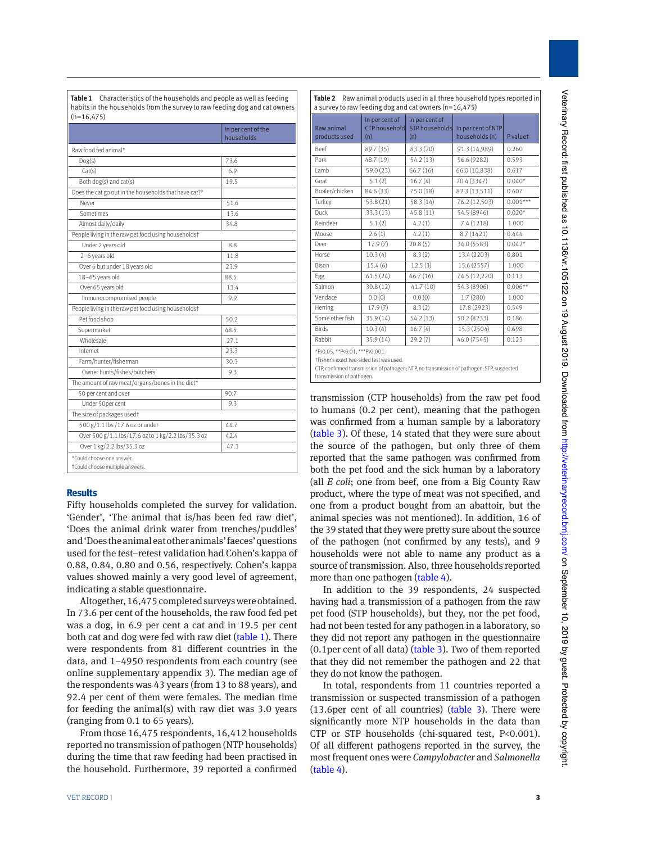**Table 1** Characteristics of the households and people as well as feeding habits in the households from the survey to raw feeding dog and cat owners  $(n=16, 475)$ 

|                                                              | In per cent of the<br>households |
|--------------------------------------------------------------|----------------------------------|
| Raw food fed animal*                                         |                                  |
| Dog(s)                                                       | 73.6                             |
| Cat(s)                                                       | 6.9                              |
| Both dog(s) and cat(s)                                       | 19.5                             |
| Does the cat go out in the households that have cat?*        |                                  |
| Never                                                        | 51.6                             |
| Sometimes                                                    | 13.6                             |
| Almost daily/daily                                           | 34.8                             |
| People living in the raw pet food using householdst          |                                  |
| Under 2 years old                                            | 8.8                              |
| 2-6 years old                                                | 11.8                             |
| Over 6 but under 18 years old                                | 23.9                             |
| 18-65 years old                                              | 88.5                             |
| Over 65 years old                                            | 13.4                             |
| Immunocompromised people                                     | 9.9                              |
| People living in the raw pet food using householdst          |                                  |
| Pet food shop                                                | 50.2                             |
| Supermarket                                                  | 48.5                             |
| Wholesale                                                    | 27.1                             |
| Internet                                                     | 23.3                             |
| Farm/hunter/fisherman                                        | 30.3                             |
| Owner hunts/fishes/butchers                                  | 9.3                              |
| The amount of raw meat/organs/bones in the diet*             |                                  |
| 50 per cent and over                                         | 90.7                             |
| Under 50per cent                                             | 9.3                              |
| The size of packages usedt                                   |                                  |
| 500 g/1.1 lbs /17.6 oz or under                              | 44.7                             |
| Over 500 g/1.1 lbs/17.6 oz to 1 kg/2.2 lbs/35.3 oz           | 42.4                             |
| Over 1 kg/2.2 lbs/35.3 oz                                    | 47.3                             |
| *Could choose one answer.<br>tCould choose multiple answers. |                                  |

## **Results**

Fifty households completed the survey for validation. 'Gender', 'The animal that is/has been fed raw diet', 'Does the animal drink water from trenches/puddles' and 'Does the animal eat other animals' faeces' questions used for the test–retest validation had Cohen's kappa of 0.88, 0.84, 0.80 and 0.56, respectively. Cohen's kappa values showed mainly a very good level of agreement, indicating a stable questionnaire.

Altogether, 16,475 completed surveys were obtained. In 73.6 per cent of the households, the raw food fed pet was a dog, in 6.9 per cent a cat and in 19.5 per cent both cat and dog were fed with raw diet (table 1). There were respondents from 81 different countries in the data, and 1–4950 respondents from each country (see online supplementary appendix 3). The median age of the respondents was 43 years (from 13 to 88 years), and 92.4 per cent of them were females. The median time for feeding the animal(s) with raw diet was 3.0 years (ranging from 0.1 to 65 years).

From those 16,475 respondents, 16,412 households reported no transmission of pathogen (NTP households) during the time that raw feeding had been practised in the household. Furthermore, 39 reported a confirmed

|                             | In per cent of              | In per cent of               |                                      |            |
|-----------------------------|-----------------------------|------------------------------|--------------------------------------|------------|
| Raw animal<br>products used | <b>CTP</b> household<br>(n) | <b>STP</b> households<br>(n) | In per cent of NTP<br>households (n) | Pvaluet    |
| Beef                        | 89.7 (35)                   | 83.3 (20)                    | 91.3 (14,989)                        | 0.260      |
| Pork                        | 48.7 (19)                   | 54.2 (13)                    | 56.6 (9282)                          | 0.593      |
| Lamb                        | 59.0 (23)                   | 66.7(16)                     | 66.0 (10,838)                        | 0.617      |
| Goat                        | 5.1(2)                      | 16.7(4)                      | 20.4 (3347)                          | $0.040*$   |
| Broiler/chicken             | 84.6 (33)                   | 75.0 (18)                    | 82.3 (13,511)                        | 0.607      |
| Turkey                      | 53.8 (21)                   | 58.3(14)                     | 76.2 (12,503)                        | $0.001***$ |
| Duck                        | 33.3(13)                    | 45.8(11)                     | 54.5 (8946)                          | $0.020*$   |
| Reindeer                    | 5.1(2)                      | 4.2(1)                       | 7.4(1218)                            | 1.000      |
| Moose                       | 2.6(1)                      | 4.2(1)                       | 8.7 (1421)                           | 0.444      |
| Deer                        | 17.9(7)                     | 20.8(5)                      | 34.0 (5583)                          | $0.042*$   |
| Horse                       | 10.3(4)                     | 8.3(2)                       | 13.4 (2203)                          | 0.801      |
| Bison                       | 15.4(6)                     | 12.5(3)                      | 15.6 (2557)                          | 1.000      |
| Egg                         | 61.5(24)                    | 66.7(16)                     | 74.5 (12,220)                        | 0.113      |
| Salmon                      | 30.8(12)                    | 41.7(10)                     | 54.3 (8906)                          | $0.006**$  |
| Vendace                     | 0.0(0)                      | 0.0(0)                       | 1.7(280)                             | 1.000      |
| Herring                     | 17.9(7)                     | 8.3(2)                       | 17.8 (2923)                          | 0.549      |
| Some other fish             | 35.9(14)                    | 54.2 (13)                    | 50.2 (8233)                          | 0.186      |
| <b>Birds</b>                | 10.3(4)                     | 16.7(4)                      | 15.3 (2504)                          | 0.698      |
| Rabbit                      | 35.9(14)                    | 29.2(7)                      | 46.0 (7545)                          | 0.123      |

†Fisher's exact two-sided test was used.

CTP, confirmed transmission of pathogen; NTP, no transmission of pathogen; STP, suspected transmission of pathogen.

transmission (CTP households) from the raw pet food to humans (0.2 per cent), meaning that the pathogen was confirmed from a human sample by a laboratory (table 3). Of these, 14 stated that they were sure about the source of the pathogen, but only three of them reported that the same pathogen was confirmed from both the pet food and the sick human by a laboratory (all *E coli*; one from beef, one from a Big County Raw product, where the type of meat was not specified, and one from a product bought from an abattoir, but the animal species was not mentioned). In addition, 16 of the 39 stated that they were pretty sure about the source of the pathogen (not confirmed by any tests), and 9 households were not able to name any product as a source of transmission. Also, three households reported more than one pathogen (table 4).

In addition to the 39 respondents, 24 suspected having had a transmission of a pathogen from the raw pet food (STP households), but they, nor the pet food, had not been tested for any pathogen in a laboratory, so they did not report any pathogen in the questionnaire (0.1per cent of all data) (table 3). Two of them reported that they did not remember the pathogen and 22 that they do not know the pathogen.

In total, respondents from 11 countries reported a transmission or suspected transmission of a pathogen (13.6per cent of all countries) (table 3). There were significantly more NTP households in the data than CTP or STP households (chi-squared test, P<0.001). Of all different pathogens reported in the survey, the most frequent ones were *Campylobacter* and *Salmonella* (table 4).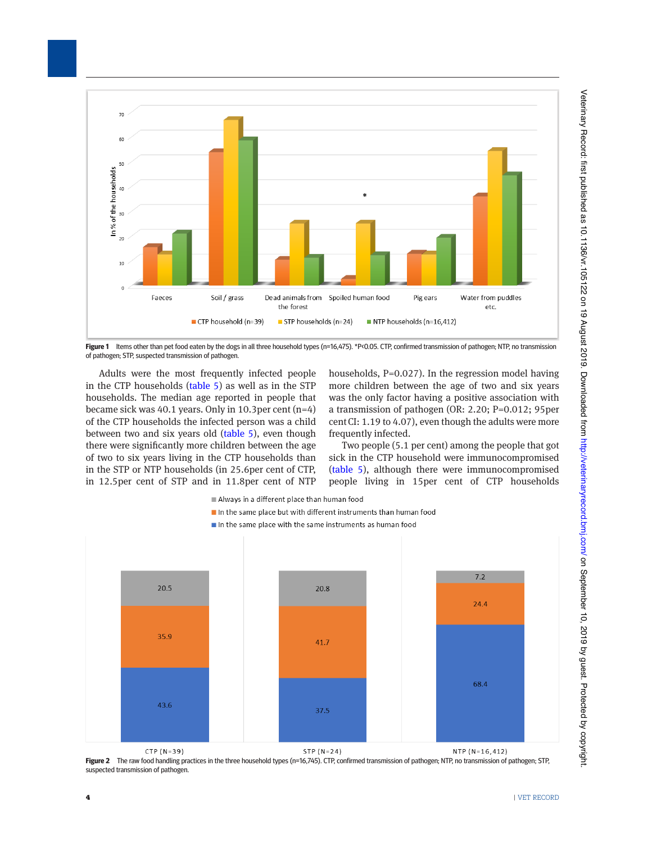

Figure 1 Items other than pet food eaten by the dogs in all three household types (n=16,475). \*P<0.05. CTP, confirmed transmission of pathogen; NTP, no transmission of pathogen; STP, suspected transmission of pathogen.

Adults were the most frequently infected people in the CTP households (table 5) as well as in the STP households. The median age reported in people that became sick was 40.1 years. Only in 10.3per cent (n=4) of the CTP households the infected person was a child between two and six years old (table 5), even though there were significantly more children between the age of two to six years living in the CTP households than in the STP or NTP households (in 25.6per cent of CTP, in 12.5per cent of STP and in 11.8per cent of NTP households, P=0.027). In the regression model having more children between the age of two and six years was the only factor having a positive association with a transmission of pathogen (OR: 2.20; P=0.012; 95per centCI: 1.19 to 4.07), even though the adults were more frequently infected.

Two people (5.1 per cent) among the people that got sick in the CTP household were immunocompromised (table 5), although there were immunocompromised people living in 15per cent of CTP households



- In the same place but with different instruments than human food
- $\blacksquare$  In the same place with the same instruments as human food



Figure 2 The raw food handling practices in the three household types (n=16,745). CTP, confirmed transmission of pathogen; NTP, no transmission of pathogen; STP, suspected transmission of pathogen.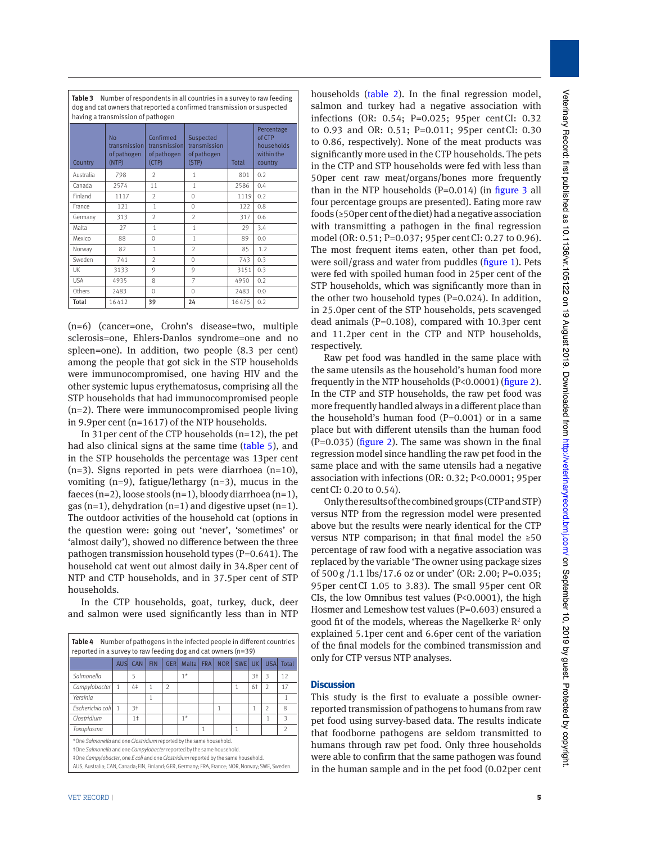| having a transmission of pathogen |                                                    |                                                   |                                                   |       |                                                             |  |  |  |  |
|-----------------------------------|----------------------------------------------------|---------------------------------------------------|---------------------------------------------------|-------|-------------------------------------------------------------|--|--|--|--|
| Country                           | <b>No</b><br>transmissionl<br>of pathogen<br>(NTP) | Confirmed<br>transmission<br>of pathogen<br>(CTP) | Suspected<br>transmission<br>of pathogen<br>(STP) | Total | Percentage<br>of CTP<br>households<br>within the<br>country |  |  |  |  |
| Australia                         | 798                                                | $\mathfrak{I}$                                    | 1                                                 | 801   | 0.2                                                         |  |  |  |  |
| Canada                            | 2574                                               | 11                                                | 1                                                 | 2586  | 0.4                                                         |  |  |  |  |
| Finland                           | 1117                                               | $\mathfrak{I}$                                    | $\Omega$                                          | 1119  | 0.2                                                         |  |  |  |  |
| France                            | 121                                                | $\mathbf{1}$                                      | $\Omega$                                          | 122   | 0.8                                                         |  |  |  |  |
| Germany                           | 313                                                | $\mathfrak{I}$                                    | $\mathfrak{D}$                                    | 317   | 0.6                                                         |  |  |  |  |
| Malta                             | 27                                                 | 1                                                 | 1                                                 | 29    | 3.4                                                         |  |  |  |  |
| Mexico                            | 88                                                 | $\Omega$                                          | 1                                                 | 89    | 0.0                                                         |  |  |  |  |
| Norway                            | 82                                                 | $\mathbf{1}$                                      | $\mathfrak{D}$                                    | 85    | 1.2                                                         |  |  |  |  |
| Sweden                            | 741                                                | $\mathfrak{I}$                                    | $\Omega$                                          | 743   | 0.3                                                         |  |  |  |  |
| UK                                | 3133                                               | 9                                                 | 9                                                 | 3151  | 0.3                                                         |  |  |  |  |
| <b>USA</b>                        | 4935                                               | 8                                                 | $\overline{7}$                                    | 4950  | 0.2                                                         |  |  |  |  |
| Others                            | 2483                                               | $\Omega$                                          | $\Omega$                                          | 2483  | 0.0                                                         |  |  |  |  |
| Total                             | 16412                                              | 39                                                | 24                                                | 16475 | 0.2                                                         |  |  |  |  |

**Table 3** Number of respondents in all countries in a survey to raw feeding dog and cat owners that reported a confirmed transmission or suspected

(n=6) (cancer=one, Crohn's disease=two, multiple sclerosis=one, Ehlers-Danlos syndrome=one and no spleen=one). In addition, two people (8.3 per cent) among the people that got sick in the STP households were immunocompromised, one having HIV and the other systemic lupus erythematosus, comprising all the STP households that had immunocompromised people (n=2). There were immunocompromised people living in 9.9per cent (n=1617) of the NTP households.

In 31per cent of the CTP households (n=12), the pet had also clinical signs at the same time (table 5), and in the STP households the percentage was 13per cent  $(n=3)$ . Signs reported in pets were diarrhoea  $(n=10)$ , vomiting  $(n=9)$ , fatigue/lethargy  $(n=3)$ , mucus in the faeces (n=2), loose stools (n=1), bloody diarrhoea (n=1), gas  $(n=1)$ , dehydration  $(n=1)$  and digestive upset  $(n=1)$ . The outdoor activities of the household cat (options in the question were: going out 'never', 'sometimes' or 'almost daily'), showed no difference between the three pathogen transmission household types (P=0.641). The household cat went out almost daily in 34.8per cent of NTP and CTP households, and in 37.5per cent of STP households.

In the CTP households, goat, turkey, duck, deer and salmon were used significantly less than in NTP

| Number of pathogens in the infected people in different countries<br>Table 4<br>reported in a survey to raw feeding dog and cat owners $(n=39)$                                                                                                                                                                                       |             |                |            |                |       |            |            |            |      |                |                |
|---------------------------------------------------------------------------------------------------------------------------------------------------------------------------------------------------------------------------------------------------------------------------------------------------------------------------------------|-------------|----------------|------------|----------------|-------|------------|------------|------------|------|----------------|----------------|
|                                                                                                                                                                                                                                                                                                                                       | <b>AUSI</b> | CAN            | <b>FIN</b> | <b>GER</b>     | Malta | <b>FRA</b> | <b>NOR</b> | <b>SWE</b> | UК   | <b>USAI</b>    | Total          |
| Salmonella                                                                                                                                                                                                                                                                                                                            |             | 5              |            |                | $1*$  |            |            |            | $3+$ | 3              | 12             |
| Campylobacter                                                                                                                                                                                                                                                                                                                         | 1           | 4‡             |            | $\mathfrak{D}$ |       |            |            | 1          | 6†   | $\mathfrak{D}$ | 17             |
| Yersinia                                                                                                                                                                                                                                                                                                                              |             |                | 1          |                |       |            |            |            |      |                | 1              |
| Escherichia coli                                                                                                                                                                                                                                                                                                                      | 1           | 3 <sup>±</sup> |            |                |       |            |            |            | 1    | $\mathfrak{D}$ | 8              |
| Clostridium                                                                                                                                                                                                                                                                                                                           |             | 1 <sup>±</sup> |            |                | $1*$  |            |            |            |      | 1              | 3              |
| Toxoplasma                                                                                                                                                                                                                                                                                                                            |             |                |            |                |       |            |            | 1          |      |                | $\mathfrak{I}$ |
| *One Salmonella and one Clostridium reported by the same household.<br>tOne Salmonella and one Campylobacter reported by the same household.<br>‡One Campylobacter, one E coli and one Clostridium reported by the same household.<br>AUS, Australia; CAN, Canada; FIN, Finland; GER, Germany; FRA, France; NOR, Norway; SWE, Sweden. |             |                |            |                |       |            |            |            |      |                |                |

households (table 2). In the final regression model, salmon and turkey had a negative association with infections (OR: 0.54; P=0.025; 95per centCI: 0.32 to 0.93 and OR: 0.51; P=0.011; 95per centCI: 0.30 to 0.86, respectively). None of the meat products was significantly more used in the CTP households. The pets in the CTP and STP households were fed with less than 50per cent raw meat/organs/bones more frequently than in the NTP households  $(P=0.014)$  (in figure 3 all four percentage groups are presented). Eating more raw foods (≥50per cent of the diet) had a negative association with transmitting a pathogen in the final regression model (OR: 0.51; P=0.037; 95per centCI: 0.27 to 0.96). The most frequent items eaten, other than pet food, were soil/grass and water from puddles (figure 1). Pets were fed with spoiled human food in 25per cent of the STP households, which was significantly more than in the other two household types  $(P=0.024)$ . In addition, in 25.0per cent of the STP households, pets scavenged dead animals (P=0.108), compared with 10.3per cent and 11.2per cent in the CTP and NTP households, respectively.

Raw pet food was handled in the same place with the same utensils as the household's human food more frequently in the NTP households (P<0.0001) (figure 2). In the CTP and STP households, the raw pet food was more frequently handled always in a different place than the household's human food  $(P=0.001)$  or in a same place but with different utensils than the human food  $(P=0.035)$  (figure 2). The same was shown in the final regression model since handling the raw pet food in the same place and with the same utensils had a negative association with infections (OR: 0.32; P<0.0001; 95per centCI: 0.20 to 0.54).

Only the results of the combined groups (CTP and STP) versus NTP from the regression model were presented above but the results were nearly identical for the CTP versus NTP comparison; in that final model the ≥50 percentage of raw food with a negative association was replaced by the variable 'The owner using package sizes of 500g /1.1 lbs/17.6 oz or under' (OR: 2.00; P=0.035; 95per centCI 1.05 to 3.83). The small 95per cent OR CIs, the low Omnibus test values (P<0.0001), the high Hosmer and Lemeshow test values (P=0.603) ensured a good fit of the models, whereas the Nagelkerke  $\mathbb{R}^2$  only explained 5.1per cent and 6.6per cent of the variation of the final models for the combined transmission and only for CTP versus NTP analyses.

#### **Discussion**

This study is the first to evaluate a possible ownerreported transmission of pathogens to humans from raw pet food using survey-based data. The results indicate that foodborne pathogens are seldom transmitted to humans through raw pet food. Only three households were able to confirm that the same pathogen was found in the human sample and in the pet food (0.02per cent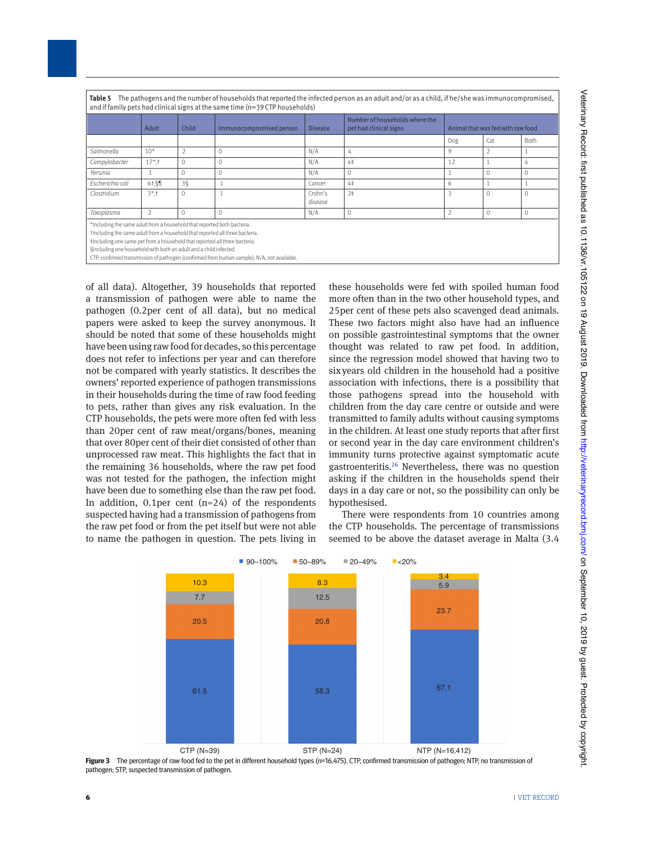| Table 5 The pathogens and the number of households that reported the infected person as an adult and/or as a child, if he/she was immunocompromised, |
|------------------------------------------------------------------------------------------------------------------------------------------------------|
| and if family pets had clinical signs at the same time (n=39 CTP households)                                                                         |

| $\cdots$                                                                                                                                                                                                                                                                                                   |            |               |                                                                                            |                    |                                                          |                                   |                |      |
|------------------------------------------------------------------------------------------------------------------------------------------------------------------------------------------------------------------------------------------------------------------------------------------------------------|------------|---------------|--------------------------------------------------------------------------------------------|--------------------|----------------------------------------------------------|-----------------------------------|----------------|------|
|                                                                                                                                                                                                                                                                                                            | Adult      | Child         | Immunocompromised person                                                                   | <b>Disease</b>     | Number of households where the<br>pet had clinical signs | Animal that was fed with raw food |                |      |
|                                                                                                                                                                                                                                                                                                            |            |               |                                                                                            |                    |                                                          | Dog                               | Cat            | Both |
| Salmonella                                                                                                                                                                                                                                                                                                 | $10*$      | $\mathcal{P}$ | $\Omega$                                                                                   | N/A                | 4                                                        | 9                                 | $\overline{2}$ |      |
| Campylobacter                                                                                                                                                                                                                                                                                              | $17*$ , †  | $\Omega$      | $\circ$                                                                                    | N/A                | 4‡                                                       | 12                                |                | 4    |
| Yersinia                                                                                                                                                                                                                                                                                                   |            | $\Omega$      | $\Omega$                                                                                   | N/A                | 0                                                        |                                   | $\Omega$       |      |
| Escherichia coli                                                                                                                                                                                                                                                                                           | $6†$ . $$$ | $3\bar{S}$    |                                                                                            | Cancer             | 4 <sup>†</sup>                                           | 6                                 |                |      |
| Clostridium                                                                                                                                                                                                                                                                                                | $3*1$      | $\Omega$      |                                                                                            | Crohn's<br>disease | 2 <sup>†</sup>                                           | 3                                 | $\Omega$       |      |
| Toxoplasma                                                                                                                                                                                                                                                                                                 | 2          | C             | $\Omega$                                                                                   | N/A                | 0                                                        |                                   | $\circ$        |      |
| *Including the same adult from a household that reported both bacteria.<br>tincluding the same adult from a household that reported all three bacteria.<br>#Including one same pet from a household that reported all three bacteria.<br>§Including one household with both an adult and a child infected. |            |               | CTP, confirmed transmission of pathogen (confirmed from human sample); N/A, not available. |                    |                                                          |                                   |                |      |

of all data). Altogether, 39 households that reported a transmission of pathogen were able to name the pathogen (0.2per cent of all data), but no medical papers were asked to keep the survey anonymous. It should be noted that some of these households might have been using raw food for decades, so this percentage does not refer to infections per year and can therefore not be compared with yearly statistics. It describes the owners' reported experience of pathogen transmissions in their households during the time of raw food feeding to pets, rather than gives any risk evaluation. In the CTP households, the pets were more often fed with less than 20per cent of raw meat/organs/bones, meaning that over 80per cent of their diet consisted of other than unprocessed raw meat. This highlights the fact that in the remaining 36 households, where the raw pet food was not tested for the pathogen, the infection might have been due to something else than the raw pet food. In addition, 0.1per cent  $(n=24)$  of the respondents suspected having had a transmission of pathogens from the raw pet food or from the pet itself but were not able to name the pathogen in question. The pets living in these households were fed with spoiled human food more often than in the two other household types, and 25per cent of these pets also scavenged dead animals. These two factors might also have had an influence on possible gastrointestinal symptoms that the owner thought was related to raw pet food. In addition, since the regression model showed that having two to sixyears old children in the household had a positive association with infections, there is a possibility that those pathogens spread into the household with children from the day care centre or outside and were transmitted to family adults without causing symptoms in the children. At least one study reports that after first or second year in the day care environment children's immunity turns protective against symptomatic acute gastroenteritis.26 Nevertheless, there was no question asking if the children in the households spend their days in a day care or not, so the possibility can only be hypothesised.

There were respondents from 10 countries among the CTP households. The percentage of transmissions seemed to be above the dataset average in Malta (3.4



**Figure 3** The percentage of raw food fed to the pet in different household types (n=16,475). CTP, confirmed transmission of pathogen; NTP, no transmission of pathogen; STP, suspected transmission of pathogen.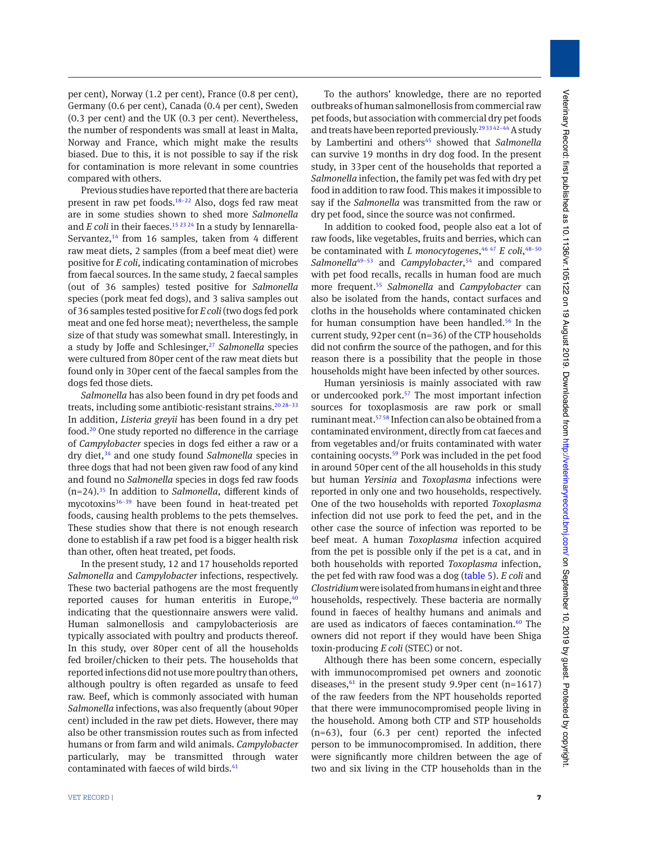per cent), Norway (1.2 per cent), France (0.8 per cent), Germany (0.6 per cent), Canada (0.4 per cent), Sweden (0.3 per cent) and the UK (0.3 per cent). Nevertheless, the number of respondents was small at least in Malta, Norway and France, which might make the results biased. Due to this, it is not possible to say if the risk for contamination is more relevant in some countries compared with others.

Previous studies have reported that there are bacteria present in raw pet foods.18–22 Also, dogs fed raw meat are in some studies shown to shed more *Salmonella* and *E coli* in their faeces.<sup>15 23 24</sup> In a study by Iennarella-Servantez, $14$  from 16 samples, taken from 4 different raw meat diets, 2 samples (from a beef meat diet) were positive for *E coli,* indicating contamination of microbes from faecal sources. In the same study, 2 faecal samples (out of 36 samples) tested positive for *Salmonella* species (pork meat fed dogs), and 3 saliva samples out of 36 samples tested positive for *E coli* (two dogs fed pork meat and one fed horse meat); nevertheless, the sample size of that study was somewhat small. Interestingly, in a study by Joffe and Schlesinger,<sup>27</sup> Salmonella species were cultured from 80per cent of the raw meat diets but found only in 30per cent of the faecal samples from the dogs fed those diets.

*Salmonella* has also been found in dry pet foods and treats, including some antibiotic-resistant strains.<sup>20 28–33</sup> In addition, *Listeria greyii* has been found in a dry pet food.20 One study reported no difference in the carriage of *Campylobacter* species in dogs fed either a raw or a dry diet,34 and one study found *Salmonella* species in three dogs that had not been given raw food of any kind and found no *Salmonella* species in dogs fed raw foods (n=24).35 In addition to *Salmonella*, different kinds of mycotoxins<sup>36-39</sup> have been found in heat-treated pet foods, causing health problems to the pets themselves. These studies show that there is not enough research done to establish if a raw pet food is a bigger health risk than other, often heat treated, pet foods.

In the present study, 12 and 17 households reported *Salmonella* and *Campylobacter* infections, respectively. These two bacterial pathogens are the most frequently reported causes for human enteritis in Europe, $40$ indicating that the questionnaire answers were valid. Human salmonellosis and campylobacteriosis are typically associated with poultry and products thereof. In this study, over 80per cent of all the households fed broiler/chicken to their pets. The households that reported infections did not use more poultry than others, although poultry is often regarded as unsafe to feed raw. Beef, which is commonly associated with human *Salmonella* infections, was also frequently (about 90per cent) included in the raw pet diets. However, there may also be other transmission routes such as from infected humans or from farm and wild animals. *Campylobacter* particularly, may be transmitted through water contaminated with faeces of wild birds.<sup>41</sup>

To the authors' knowledge, there are no reported outbreaks of human salmonellosis from commercial raw pet foods, but association with commercial dry pet foods and treats have been reported previously.<sup>293342-44</sup> A study by Lambertini and others<sup>45</sup> showed that *Salmonella* can survive 19 months in dry dog food. In the present study, in 33per cent of the households that reported a *Salmonella* infection, the family pet was fed with dry pet food in addition to raw food. This makes it impossible to say if the *Salmonella* was transmitted from the raw or dry pet food, since the source was not confirmed.

In addition to cooked food, people also eat a lot of raw foods, like vegetables, fruits and berries, which can be contaminated with *L monocytogenes*, 46 47 *E coli*, 48–50 *Salmonella*49–53 and *Campylobacter*, 54 and compared with pet food recalls, recalls in human food are much more frequent.55 *Salmonella* and *Campylobacter* can also be isolated from the hands, contact surfaces and cloths in the households where contaminated chicken for human consumption have been handled.<sup>56</sup> In the current study, 92per cent (n=36) of the CTP households did not confirm the source of the pathogen, and for this reason there is a possibility that the people in those households might have been infected by other sources.

Human yersiniosis is mainly associated with raw or undercooked pork.<sup>57</sup> The most important infection sources for toxoplasmosis are raw pork or small ruminant meat.57 58 Infection can also be obtained from a contaminated environment, directly from cat faeces and from vegetables and/or fruits contaminated with water containing oocysts.<sup>59</sup> Pork was included in the pet food in around 50per cent of the all households in this study but human *Yersinia* and *Toxoplasma* infections were reported in only one and two households, respectively. One of the two households with reported *Toxoplasma* infection did not use pork to feed the pet, and in the other case the source of infection was reported to be beef meat. A human *Toxoplasma* infection acquired from the pet is possible only if the pet is a cat, and in both households with reported *Toxoplasma* infection, the pet fed with raw food was a dog (table 5). *E coli* and *Clostridium* were isolated from humans in eight and three households, respectively. These bacteria are normally found in faeces of healthy humans and animals and are used as indicators of faeces contamination.<sup>60</sup> The owners did not report if they would have been Shiga toxin-producing *E coli* (STEC) or not.

Although there has been some concern, especially with immunocompromised pet owners and zoonotic diseases, $61$  in the present study 9.9per cent (n=1617) of the raw feeders from the NPT households reported that there were immunocompromised people living in the household. Among both CTP and STP households (n=63), four (6.3 per cent) reported the infected person to be immunocompromised. In addition, there were significantly more children between the age of two and six living in the CTP households than in the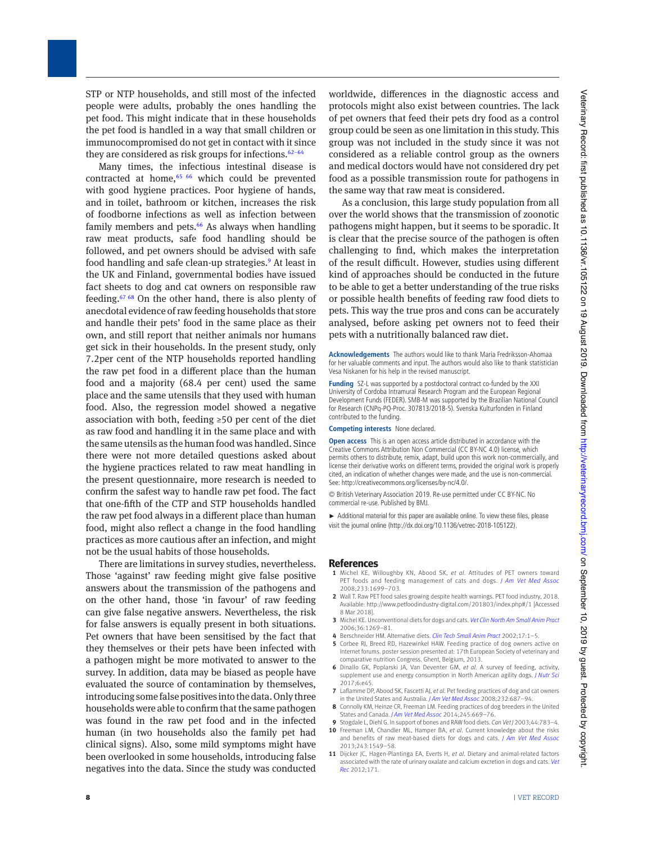STP or NTP households, and still most of the infected people were adults, probably the ones handling the pet food. This might indicate that in these households the pet food is handled in a way that small children or immunocompromised do not get in contact with it since they are considered as risk groups for infections. $62-64$ 

Many times, the infectious intestinal disease is contracted at home, $65/66$  which could be prevented with good hygiene practices. Poor hygiene of hands, and in toilet, bathroom or kitchen, increases the risk of foodborne infections as well as infection between family members and pets. $66$  As always when handling raw meat products, safe food handling should be followed, and pet owners should be advised with safe food handling and safe clean-up strategies.<sup>9</sup> At least in the UK and Finland, governmental bodies have issued fact sheets to dog and cat owners on responsible raw feeding.67 68 On the other hand, there is also plenty of anecdotal evidence of raw feeding households that store and handle their pets' food in the same place as their own, and still report that neither animals nor humans get sick in their households. In the present study, only 7.2per cent of the NTP households reported handling the raw pet food in a different place than the human food and a majority (68.4 per cent) used the same place and the same utensils that they used with human food. Also, the regression model showed a negative association with both, feeding ≥50 per cent of the diet as raw food and handling it in the same place and with the same utensils as the human food was handled. Since there were not more detailed questions asked about the hygiene practices related to raw meat handling in the present questionnaire, more research is needed to confirm the safest way to handle raw pet food. The fact that one-fifth of the CTP and STP households handled the raw pet food always in a different place than human food, might also reflect a change in the food handling practices as more cautious after an infection, and might not be the usual habits of those households.

There are limitations in survey studies, nevertheless. Those 'against' raw feeding might give false positive answers about the transmission of the pathogens and on the other hand, those 'in favour' of raw feeding can give false negative answers. Nevertheless, the risk for false answers is equally present in both situations. Pet owners that have been sensitised by the fact that they themselves or their pets have been infected with a pathogen might be more motivated to answer to the survey. In addition, data may be biased as people have evaluated the source of contamination by themselves, introducing some false positives into the data. Only three households were able to confirm that the same pathogen was found in the raw pet food and in the infected human (in two households also the family pet had clinical signs). Also, some mild symptoms might have been overlooked in some households, introducing false negatives into the data. Since the study was conducted worldwide, differences in the diagnostic access and protocols might also exist between countries. The lack of pet owners that feed their pets dry food as a control group could be seen as one limitation in this study. This group was not included in the study since it was not considered as a reliable control group as the owners and medical doctors would have not considered dry pet food as a possible transmission route for pathogens in the same way that raw meat is considered.

As a conclusion, this large study population from all over the world shows that the transmission of zoonotic pathogens might happen, but it seems to be sporadic. It is clear that the precise source of the pathogen is often challenging to find, which makes the interpretation of the result difficult. However, studies using different kind of approaches should be conducted in the future to be able to get a better understanding of the true risks or possible health benefits of feeding raw food diets to pets. This way the true pros and cons can be accurately analysed, before asking pet owners not to feed their pets with a nutritionally balanced raw diet.

**Acknowledgements** The authors would like to thank Maria Fredriksson-Ahomaa for her valuable comments and input. The authors would also like to thank statistician Vesa Niskanen for his help in the revised manuscript.

**Funding** SZ-L was supported by a postdoctoral contract co-funded by the XXI University of Cordoba Intramural Research Program and the European Regional Development Funds (FEDER). SMB-M was supported by the Brazilian National Council for Research (CNPq-PQ-Proc. 307813/2018-5). Svenska Kulturfonden in Finland contributed to the funding.

**Competing interests** None declared.

**Open access** This is an open access article distributed in accordance with the Creative Commons Attribution Non Commercial (CC BY-NC 4.0) license, which permits others to distribute, remix, adapt, build upon this work non-commercially, and license their derivative works on different terms, provided the original work is properly cited, an indication of whether changes were made, and the use is non-commercial. See: http://creativecommons.org/licenses/by-nc/4.0/.

© British Veterinary Association 2019. Re-use permitted under CC BY-NC. No commercial re-use. Published by BMJ.

Additional material for this paper are available online. To view these files, please visit the journal online (http://dx.doi.org/10.1136/vetrec-2018-105122).

#### **References**

- **1** Michel KE, Willoughby KN, Abood SK, *et al*. Attitudes of PET owners toward PET foods and feeding management of cats and dogs. *J Am Vet Med Assoc* 2008;233:1699–703.
- **2** Wall T. Raw PET food sales growing despite health warnings. PET food industry, 2018. Available: http://www.petfoodindustry-digital.com/201803/index.php#/1 [Accessed 8 Mar 2018].
- **3** Michel KE. Unconventional diets for dogs and cats. *Vet Clin North Am Small Anim Pract* 2006;36:1269–81.
- **4** Berschneider HM. Alternative diets. *Clin Tech Small Anim Pract* 2002;17:1–5.
- **5** Corbee RJ, Breed RD, Hazewinkel HAW. Feeding practice of dog owners active on Internet forums. poster session presented at: 17th European Society of veterinary and comparative nutrition Congress. Ghent, Belgium, 2013.
- **6** Dinallo GK, Poplarski JA, Van Deventer GM, *et al*. A survey of feeding, activity, supplement use and energy consumption in North American agility dogs. *J Nutr Sci* 2017;6:e45.
- **7** Laflamme DP, Abood SK, Fascetti AJ, *et al*. Pet feeding practices of dog and cat owners in the United States and Australia. *J Am Vet Med Assoc* 2008;232:687–94.
- **8** Connolly KM, Heinze CR, Freeman LM. Feeding practices of dog breeders in the United States and Canada. *J Am Vet Med Assoc* 2014;245:669–76.
- **9** Stogdale L, Diehl G. In support of bones and RAW food diets. *Can Vet J* 2003;44:783–4. **10** Freeman LM, Chandler ML, Hamper BA, *et al*. Current knowledge about the risks and benefits of raw meat-based diets for dogs and cats. *J Am Vet Med Assoc*
- 2013;243:1549–58. **11** Dijcker JC, Hagen-Plantinga EA, Everts H, *et al*. Dietary and animal-related factors associated with the rate of urinary oxalate and calcium excretion in dogs and cats. *Vet Rec* 2012;171.